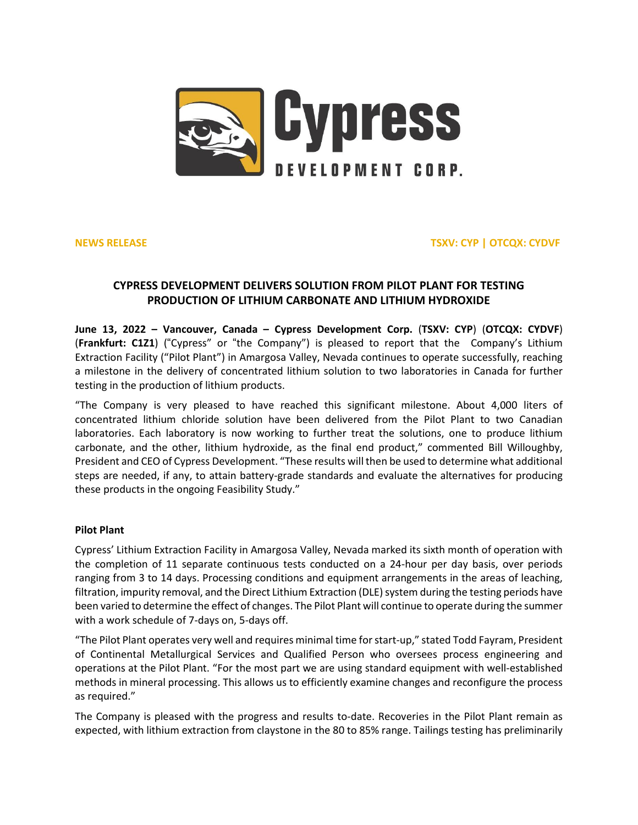

**NEWS RELEASE TSXV: CYP | OTCQX: CYDVF**

# **CYPRESS DEVELOPMENT DELIVERS SOLUTION FROM PILOT PLANT FOR TESTING PRODUCTION OF LITHIUM CARBONATE AND LITHIUM HYDROXIDE**

**June 13, 2022 – Vancouver, Canada – Cypress Development Corp.** (**TSXV: [CYP](https://money.tmx.com/en/quote/CYP)**) (**OTCQX: [CYDVF](https://www.otcmarkets.com/stock/CYDVF/overview)**) (**Frankfurt: [C1Z1](https://www.boerse-frankfurt.de/equity/cypress-development-corp)**) ("Cypress" or "the Company") is pleased to report that the Company's Lithium Extraction Facility ("Pilot Plant") in Amargosa Valley, Nevada continues to operate successfully, reaching a milestone in the delivery of concentrated lithium solution to two laboratories in Canada for further testing in the production of lithium products.

"The Company is very pleased to have reached this significant milestone. About 4,000 liters of concentrated lithium chloride solution have been delivered from the Pilot Plant to two Canadian laboratories. Each laboratory is now working to further treat the solutions, one to produce lithium carbonate, and the other, lithium hydroxide, as the final end product," commented Bill Willoughby, President and CEO of Cypress Development. "These results will then be used to determine what additional steps are needed, if any, to attain battery-grade standards and evaluate the alternatives for producing these products in the ongoing Feasibility Study."

## **Pilot Plant**

Cypress' Lithium Extraction Facility in Amargosa Valley, Nevada marked its sixth month of operation with the completion of 11 separate continuous tests conducted on a 24-hour per day basis, over periods ranging from 3 to 14 days. Processing conditions and equipment arrangements in the areas of leaching, filtration, impurity removal, and the Direct Lithium Extraction (DLE) system during the testing periods have been varied to determine the effect of changes. The Pilot Plant will continue to operate during the summer with a work schedule of 7-days on, 5-days off.

"The Pilot Plant operates very well and requires minimal time forstart-up," stated Todd Fayram, President of Continental Metallurgical Services and Qualified Person who oversees process engineering and operations at the Pilot Plant. "For the most part we are using standard equipment with well-established methods in mineral processing. This allows us to efficiently examine changes and reconfigure the process as required."

The Company is pleased with the progress and results to-date. Recoveries in the Pilot Plant remain as expected, with lithium extraction from claystone in the 80 to 85% range. Tailings testing has preliminarily